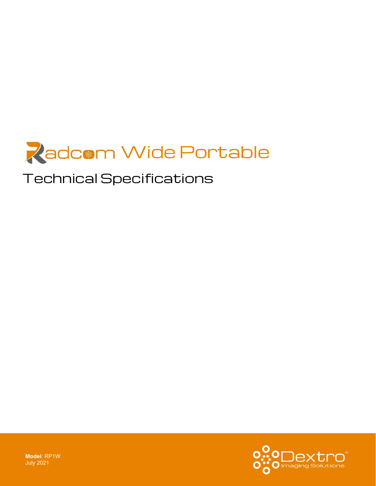

# Technical Specifications

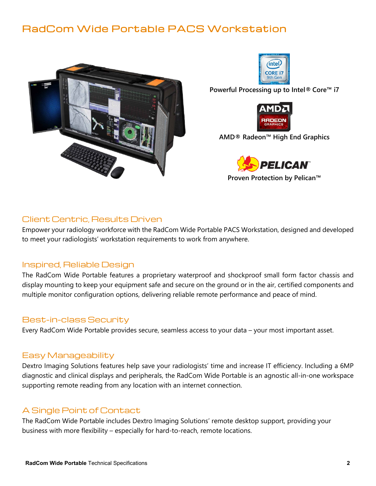## RadCom Wide Portable PACS Workstation





**Powerful Processing up to Intel® Core™ i7**



**AMD® Radeon™ High End Graphics**



**Proven Protection by Pelican™**

#### Client Centric, Results Driven

Empower your radiology workforce with the RadCom Wide Portable PACS Workstation, designed and developed to meet your radiologists' workstation requirements to work from anywhere.

#### Inspired, Reliable Design

The RadCom Wide Portable features a proprietary waterproof and shockproof small form factor chassis and display mounting to keep your equipment safe and secure on the ground or in the air, certified components and multiple monitor configuration options, delivering reliable remote performance and peace of mind.

#### Best-in-class Security

Every RadCom Wide Portable provides secure, seamless access to your data – your most important asset.

#### Easy Manageability

Dextro Imaging Solutions features help save your radiologists' time and increase IT efficiency. Including a 6MP diagnostic and clinical displays and peripherals, the RadCom Wide Portable is an agnostic all-in-one workspace supporting remote reading from any location with an internet connection.

### A Single Point of Contact

The RadCom Wide Portable includes Dextro Imaging Solutions' remote desktop support, providing your business with more flexibility – especially for hard-to-reach, remote locations.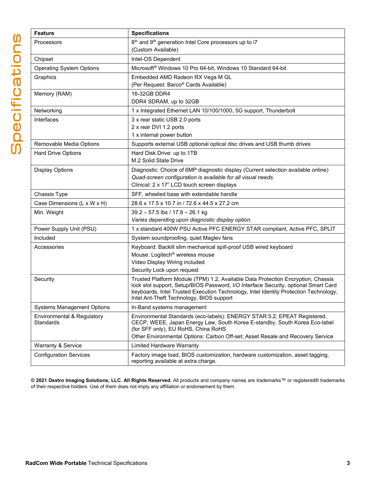| <b>Feature</b>                                 | <b>Specifications</b>                                                                                                                                  |
|------------------------------------------------|--------------------------------------------------------------------------------------------------------------------------------------------------------|
| Processors                                     | 8 <sup>th</sup> and 9 <sup>th</sup> generation Intel Core processors up to i7                                                                          |
|                                                | (Custom Available)                                                                                                                                     |
| Chipset                                        | Intel-OS Dependent                                                                                                                                     |
| <b>Operating System Options</b>                | Microsoft <sup>®</sup> Windows 10 Pro 64-bit, Windows 10 Standard 64-bit                                                                               |
| Graphics                                       | Embedded AMD Radeon RX Vega M GL                                                                                                                       |
|                                                | (Per Request: Barco® Cards Available)                                                                                                                  |
| Memory (RAM)                                   | 16-32GB DDR4                                                                                                                                           |
|                                                | DDR4 SDRAM, up to 32GB                                                                                                                                 |
| Networking                                     | 1 x Integrated Ethernet LAN 10/100/1000, 5G support, Thunderbolt                                                                                       |
| Interfaces                                     | 3 x rear static USB 2.0 ports                                                                                                                          |
|                                                | 2 x rear DVI 1.2 ports<br>1 x internal power button                                                                                                    |
| Removable Media Options                        | Supports external USB optional optical disc drives and USB thumb drives                                                                                |
| <b>Hard Drive Options</b>                      | Hard Disk Drive: up to 1TB                                                                                                                             |
|                                                | M.2 Solid State Drive                                                                                                                                  |
| <b>Display Options</b>                         | Diagnostic: Choice of 6MP diagnostic display (Current selection available online)                                                                      |
|                                                | Quad-screen configuration is available for all visual needs.                                                                                           |
|                                                | Clinical: 2 x 17" LCD touch screen displays                                                                                                            |
| Chassis Type                                   | SFF, wheeled base with extendable handle                                                                                                               |
| Case Dimensions (L x W x H)                    | 28.6 x 17.5 x 10.7 in / 72.6 x 44.5 x 27.2 cm                                                                                                          |
| Min. Weight                                    | 39.2 - 57.5 lbs / 17.8 - 26.1 kg                                                                                                                       |
|                                                | Varies depending upon diagnostic display option.                                                                                                       |
| Power Supply Unit (PSU)                        | 1 x standard 400W PSU Active PFC ENERGY STAR compliant, Active PFC, SPLIT                                                                              |
| Included                                       | System soundproofing, quiet Maglev fans                                                                                                                |
| Accessories                                    | Keyboard: Backlit slim mechanical spill-proof USB wired keyboard                                                                                       |
|                                                | Mouse: Logitech <sup>®</sup> wireless mouse                                                                                                            |
|                                                | Video Display Wiring included<br>Security Lock upon request                                                                                            |
| Security                                       | Trusted Platform Module (TPM) 1.2, Available Data Protection Encryption, Chassis                                                                       |
|                                                | lock slot support, Setup/BIOS Password, I/O Interface Security, optional Smart Card                                                                    |
|                                                | keyboards, Intel Trusted Execution Technology, Intel Identity Protection Technology,                                                                   |
|                                                | Intel Ant-Theft Technology, BIOS support                                                                                                               |
| <b>Systems Management Options</b>              | In-Band systems management                                                                                                                             |
| Environmental & Regulatory<br><b>Standards</b> | Environmental Standards (eco-labels): ENERGY STAR 5.2, EPEAT Registered,<br>CECP, WEEE, Japan Energy Law, South Korea E-standby, South Korea Eco-label |
|                                                | (for SFF only), EU RoHS, China RoHS                                                                                                                    |
|                                                | Other Environmental Options: Carbon Off-set; Asset Resale and Recovery Service                                                                         |
| <b>Warranty &amp; Service</b>                  | <b>Limited Hardware Warranty</b>                                                                                                                       |
| <b>Configuration Services</b>                  | Factory image load, BIOS customization, hardware customization, asset tagging,                                                                         |
|                                                | reporting available at extra charge.                                                                                                                   |

**© 2021 Dextro Imaging Solutions, LLC. All Rights Reserved.** All products and company names are trademarks™ or registered® trademarks of their respective holders. Use of them does not imply any affiliation or endorsement by them.